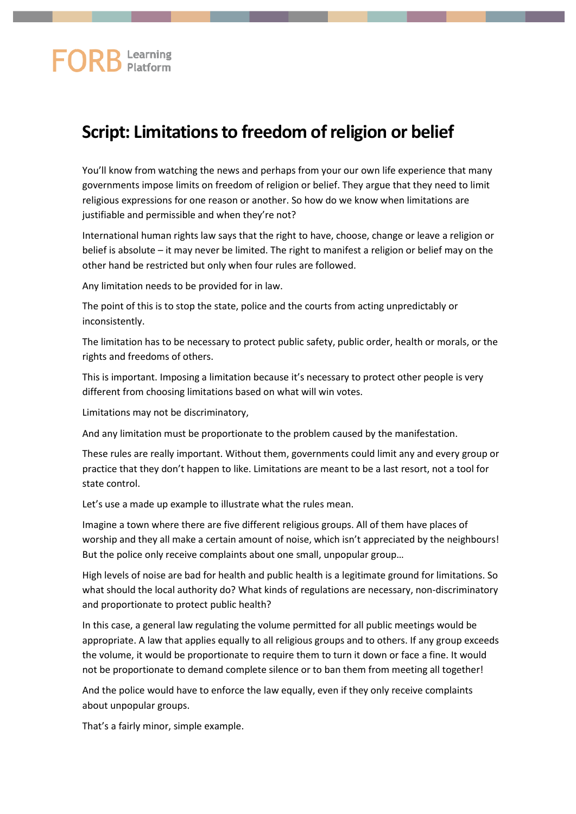# **FORB** Learning

# **Script: Limitations to freedom of religion or belief**

You'll know from watching the news and perhaps from your our own life experience that many governments impose limits on freedom of religion or belief. They argue that they need to limit religious expressions for one reason or another. So how do we know when limitations are justifiable and permissible and when they're not?

International human rights law says that the right to have, choose, change or leave a religion or belief is absolute – it may never be limited. The right to manifest a religion or belief may on the other hand be restricted but only when four rules are followed.

Any limitation needs to be provided for in law.

The point of this is to stop the state, police and the courts from acting unpredictably or inconsistently.

The limitation has to be necessary to protect public safety, public order, health or morals, or the rights and freedoms of others.

This is important. Imposing a limitation because it's necessary to protect other people is very different from choosing limitations based on what will win votes.

Limitations may not be discriminatory,

And any limitation must be proportionate to the problem caused by the manifestation.

These rules are really important. Without them, governments could limit any and every group or practice that they don't happen to like. Limitations are meant to be a last resort, not a tool for state control.

Let's use a made up example to illustrate what the rules mean.

Imagine a town where there are five different religious groups. All of them have places of worship and they all make a certain amount of noise, which isn't appreciated by the neighbours! But the police only receive complaints about one small, unpopular group…

High levels of noise are bad for health and public health is a legitimate ground for limitations. So what should the local authority do? What kinds of regulations are necessary, non-discriminatory and proportionate to protect public health?

In this case, a general law regulating the volume permitted for all public meetings would be appropriate. A law that applies equally to all religious groups and to others. If any group exceeds the volume, it would be proportionate to require them to turn it down or face a fine. It would not be proportionate to demand complete silence or to ban them from meeting all together!

And the police would have to enforce the law equally, even if they only receive complaints about unpopular groups.

That's a fairly minor, simple example.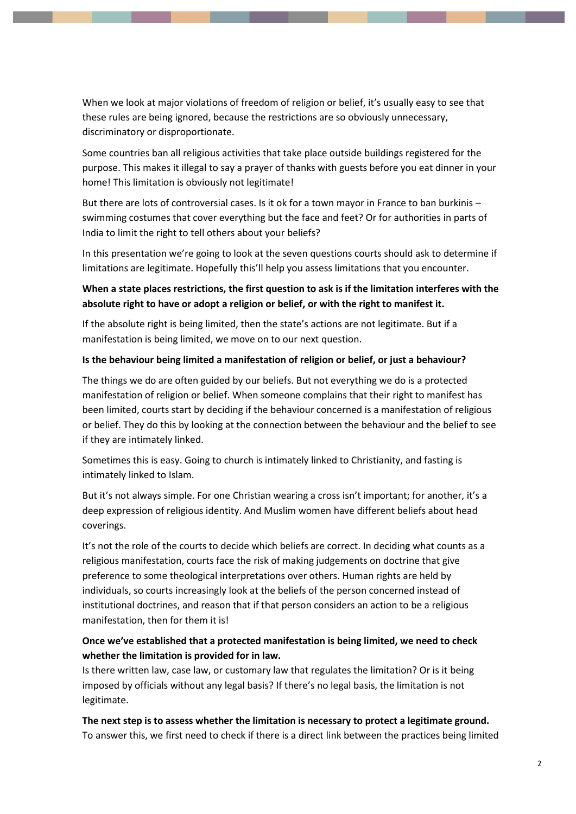When we look at major violations of freedom of religion or belief, it's usually easy to see that these rules are being ignored, because the restrictions are so obviously unnecessary, discriminatory or disproportionate.

Some countries ban all religious activities that take place outside buildings registered for the purpose. This makes it illegal to say a prayer of thanks with guests before you eat dinner in your home! This limitation is obviously not legitimate!

But there are lots of controversial cases. Is it ok for a town mayor in France to ban burkinis – swimming costumes that cover everything but the face and feet? Or for authorities in parts of India to limit the right to tell others about your beliefs?

In this presentation we're going to look at the seven questions courts should ask to determine if limitations are legitimate. Hopefully this'll help you assess limitations that you encounter.

## **When a state places restrictions, the first question to ask is if the limitation interferes with the absolute right to have or adopt a religion or belief, or with the right to manifest it.**

If the absolute right is being limited, then the state's actions are not legitimate. But if a manifestation is being limited, we move on to our next question.

#### **Is the behaviour being limited a manifestation of religion or belief, or just a behaviour?**

The things we do are often guided by our beliefs. But not everything we do is a protected manifestation of religion or belief. When someone complains that their right to manifest has been limited, courts start by deciding if the behaviour concerned is a manifestation of religious or belief. They do this by looking at the connection between the behaviour and the belief to see if they are intimately linked.

Sometimes this is easy. Going to church is intimately linked to Christianity, and fasting is intimately linked to Islam.

But it's not always simple. For one Christian wearing a cross isn't important; for another, it's a deep expression of religious identity. And Muslim women have different beliefs about head coverings.

It's not the role of the courts to decide which beliefs are correct. In deciding what counts as a religious manifestation, courts face the risk of making judgements on doctrine that give preference to some theological interpretations over others. Human rights are held by individuals, so courts increasingly look at the beliefs of the person concerned instead of institutional doctrines, and reason that if that person considers an action to be a religious manifestation, then for them it is!

### **Once we've established that a protected manifestation is being limited, we need to check whether the limitation is provided for in law.**

Is there written law, case law, or customary law that regulates the limitation? Or is it being imposed by officials without any legal basis? If there's no legal basis, the limitation is not legitimate.

**The next step is to assess whether the limitation is necessary to protect a legitimate ground.** To answer this, we first need to check if there is a direct link between the practices being limited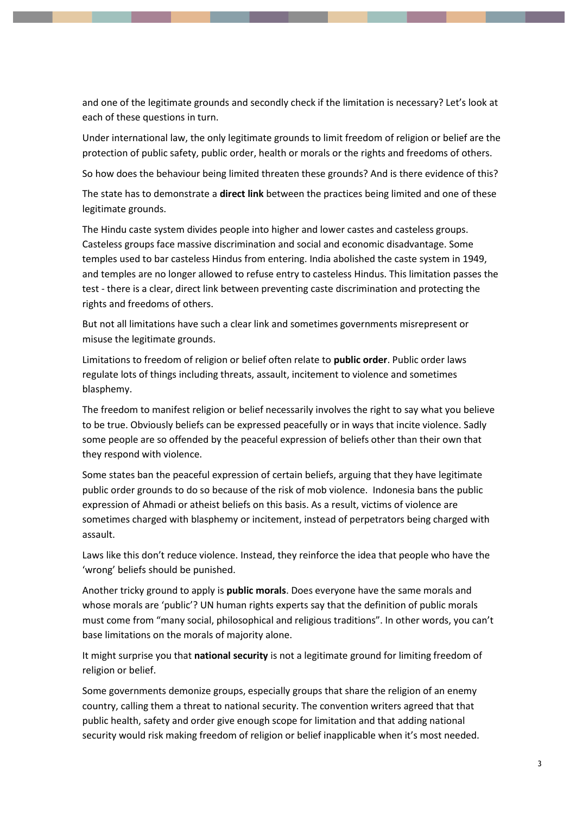and one of the legitimate grounds and secondly check if the limitation is necessary? Let's look at each of these questions in turn.

Under international law, the only legitimate grounds to limit freedom of religion or belief are the protection of public safety, public order, health or morals or the rights and freedoms of others.

So how does the behaviour being limited threaten these grounds? And is there evidence of this?

The state has to demonstrate a **direct link** between the practices being limited and one of these legitimate grounds.

The Hindu caste system divides people into higher and lower castes and casteless groups. Casteless groups face massive discrimination and social and economic disadvantage. Some temples used to bar casteless Hindus from entering. India abolished the caste system in 1949, and temples are no longer allowed to refuse entry to casteless Hindus. This limitation passes the test - there is a clear, direct link between preventing caste discrimination and protecting the rights and freedoms of others.

But not all limitations have such a clear link and sometimes governments misrepresent or misuse the legitimate grounds.

Limitations to freedom of religion or belief often relate to **public order**. Public order laws regulate lots of things including threats, assault, incitement to violence and sometimes blasphemy.

The freedom to manifest religion or belief necessarily involves the right to say what you believe to be true. Obviously beliefs can be expressed peacefully or in ways that incite violence. Sadly some people are so offended by the peaceful expression of beliefs other than their own that they respond with violence.

Some states ban the peaceful expression of certain beliefs, arguing that they have legitimate public order grounds to do so because of the risk of mob violence. Indonesia bans the public expression of Ahmadi or atheist beliefs on this basis. As a result, victims of violence are sometimes charged with blasphemy or incitement, instead of perpetrators being charged with assault.

Laws like this don't reduce violence. Instead, they reinforce the idea that people who have the 'wrong' beliefs should be punished.

Another tricky ground to apply is **public morals**. Does everyone have the same morals and whose morals are 'public'? UN human rights experts say that the definition of public morals must come from "many social, philosophical and religious traditions". In other words, you can't base limitations on the morals of majority alone.

It might surprise you that **national security** is not a legitimate ground for limiting freedom of religion or belief.

Some governments demonize groups, especially groups that share the religion of an enemy country, calling them a threat to national security. The convention writers agreed that that public health, safety and order give enough scope for limitation and that adding national security would risk making freedom of religion or belief inapplicable when it's most needed.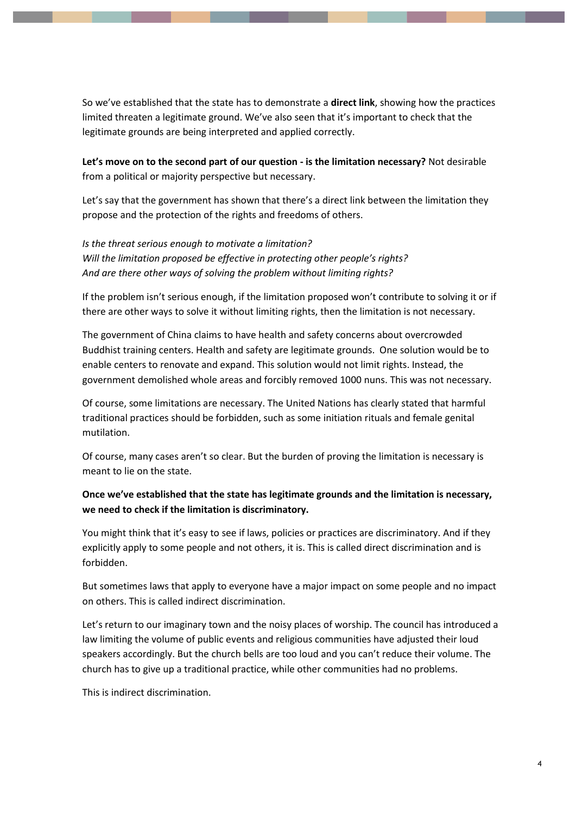So we've established that the state has to demonstrate a **direct link**, showing how the practices limited threaten a legitimate ground. We've also seen that it's important to check that the legitimate grounds are being interpreted and applied correctly.

**Let's move on to the second part of our question - is the limitation necessary?** Not desirable from a political or majority perspective but necessary.

Let's say that the government has shown that there's a direct link between the limitation they propose and the protection of the rights and freedoms of others.

*Is the threat serious enough to motivate a limitation? Will the limitation proposed be effective in protecting other people's rights? And are there other ways of solving the problem without limiting rights?*

If the problem isn't serious enough, if the limitation proposed won't contribute to solving it or if there are other ways to solve it without limiting rights, then the limitation is not necessary.

The government of China claims to have health and safety concerns about overcrowded Buddhist training centers. Health and safety are legitimate grounds. One solution would be to enable centers to renovate and expand. This solution would not limit rights. Instead, the government demolished whole areas and forcibly removed 1000 nuns. This was not necessary.

Of course, some limitations are necessary. The United Nations has clearly stated that harmful traditional practices should be forbidden, such as some initiation rituals and female genital mutilation.

Of course, many cases aren't so clear. But the burden of proving the limitation is necessary is meant to lie on the state.

### **Once we've established that the state has legitimate grounds and the limitation is necessary, we need to check if the limitation is discriminatory.**

You might think that it's easy to see if laws, policies or practices are discriminatory. And if they explicitly apply to some people and not others, it is. This is called direct discrimination and is forbidden.

But sometimes laws that apply to everyone have a major impact on some people and no impact on others. This is called indirect discrimination.

Let's return to our imaginary town and the noisy places of worship. The council has introduced a law limiting the volume of public events and religious communities have adjusted their loud speakers accordingly. But the church bells are too loud and you can't reduce their volume. The church has to give up a traditional practice, while other communities had no problems.

This is indirect discrimination.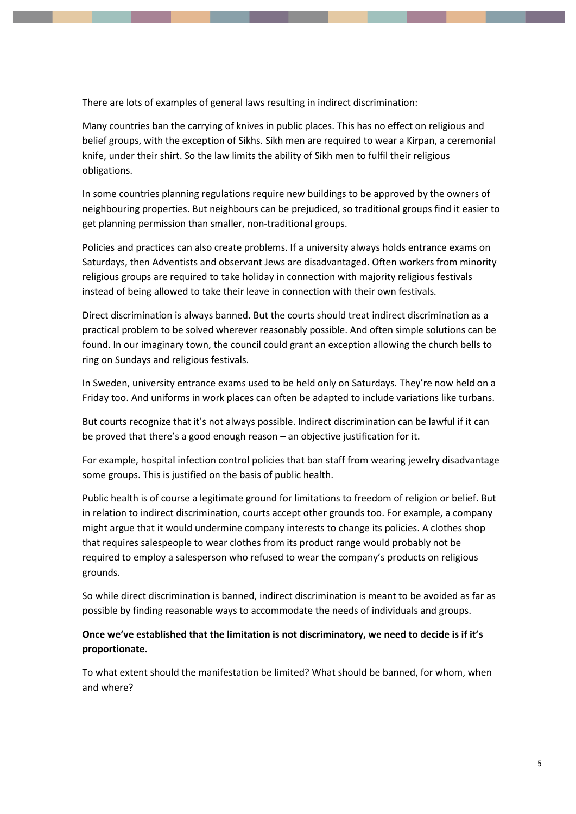There are lots of examples of general laws resulting in indirect discrimination:

Many countries ban the carrying of knives in public places. This has no effect on religious and belief groups, with the exception of Sikhs. Sikh men are required to wear a Kirpan, a ceremonial knife, under their shirt. So the law limits the ability of Sikh men to fulfil their religious obligations.

In some countries planning regulations require new buildings to be approved by the owners of neighbouring properties. But neighbours can be prejudiced, so traditional groups find it easier to get planning permission than smaller, non-traditional groups.

Policies and practices can also create problems. If a university always holds entrance exams on Saturdays, then Adventists and observant Jews are disadvantaged. Often workers from minority religious groups are required to take holiday in connection with majority religious festivals instead of being allowed to take their leave in connection with their own festivals.

Direct discrimination is always banned. But the courts should treat indirect discrimination as a practical problem to be solved wherever reasonably possible. And often simple solutions can be found. In our imaginary town, the council could grant an exception allowing the church bells to ring on Sundays and religious festivals.

In Sweden, university entrance exams used to be held only on Saturdays. They're now held on a Friday too. And uniforms in work places can often be adapted to include variations like turbans.

But courts recognize that it's not always possible. Indirect discrimination can be lawful if it can be proved that there's a good enough reason – an objective justification for it.

For example, hospital infection control policies that ban staff from wearing jewelry disadvantage some groups. This is justified on the basis of public health.

Public health is of course a legitimate ground for limitations to freedom of religion or belief. But in relation to indirect discrimination, courts accept other grounds too. For example, a company might argue that it would undermine company interests to change its policies. A clothes shop that requires salespeople to wear clothes from its product range would probably not be required to employ a salesperson who refused to wear the company's products on religious grounds.

So while direct discrimination is banned, indirect discrimination is meant to be avoided as far as possible by finding reasonable ways to accommodate the needs of individuals and groups.

#### **Once we've established that the limitation is not discriminatory, we need to decide is if it's proportionate.**

To what extent should the manifestation be limited? What should be banned, for whom, when and where?